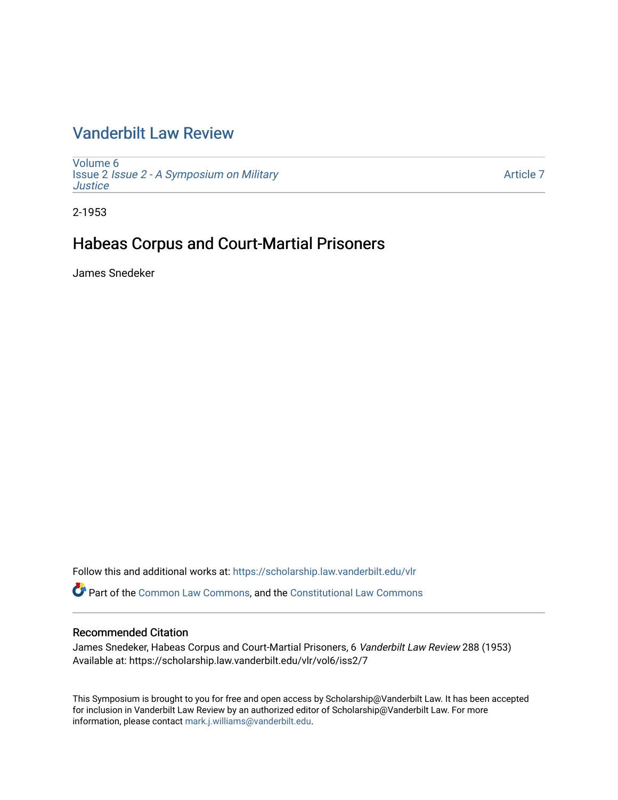# [Vanderbilt Law Review](https://scholarship.law.vanderbilt.edu/vlr)

[Volume 6](https://scholarship.law.vanderbilt.edu/vlr/vol6) Issue 2 [Issue 2 - A Symposium on Military](https://scholarship.law.vanderbilt.edu/vlr/vol6/iss2) **Justice** 

[Article 7](https://scholarship.law.vanderbilt.edu/vlr/vol6/iss2/7) 

2-1953

# Habeas Corpus and Court-Martial Prisoners

James Snedeker

Follow this and additional works at: [https://scholarship.law.vanderbilt.edu/vlr](https://scholarship.law.vanderbilt.edu/vlr?utm_source=scholarship.law.vanderbilt.edu%2Fvlr%2Fvol6%2Fiss2%2F7&utm_medium=PDF&utm_campaign=PDFCoverPages)

Part of the [Common Law Commons,](http://network.bepress.com/hgg/discipline/1120?utm_source=scholarship.law.vanderbilt.edu%2Fvlr%2Fvol6%2Fiss2%2F7&utm_medium=PDF&utm_campaign=PDFCoverPages) and the [Constitutional Law Commons](http://network.bepress.com/hgg/discipline/589?utm_source=scholarship.law.vanderbilt.edu%2Fvlr%2Fvol6%2Fiss2%2F7&utm_medium=PDF&utm_campaign=PDFCoverPages)

## Recommended Citation

James Snedeker, Habeas Corpus and Court-Martial Prisoners, 6 Vanderbilt Law Review 288 (1953) Available at: https://scholarship.law.vanderbilt.edu/vlr/vol6/iss2/7

This Symposium is brought to you for free and open access by Scholarship@Vanderbilt Law. It has been accepted for inclusion in Vanderbilt Law Review by an authorized editor of Scholarship@Vanderbilt Law. For more information, please contact [mark.j.williams@vanderbilt.edu](mailto:mark.j.williams@vanderbilt.edu).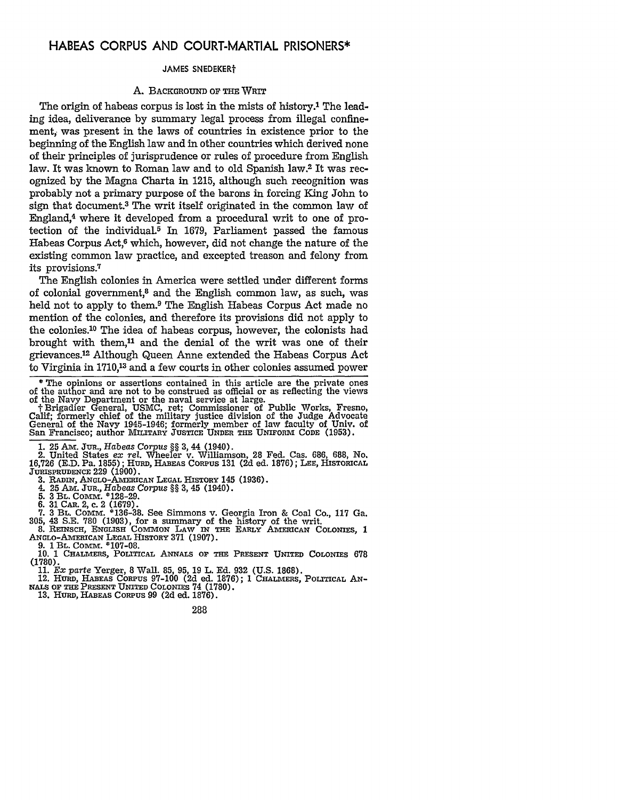## **HABEAS** CORPUS AND COURT-MARTIAL PRISONERS\*

#### **JAMES** SNEDEKERf

#### **A. BACKGROUND OF THE** WRIT

The origin of habeas corpus is lost in the mists of history.1 The leading idea, deliverance by summary legal process from illegal confinement, was present in the laws of countries in existence prior to the beginning of the English law and in other countries which derived none of their principles of jurisprudence or rules of procedure from English law. It was known to Roman law and to old Spanish law.2 It was recognized by the Magna Charta in **1215,** although such recognition was probably not a primary purpose of the barons in forcing King John to sign that document.<sup>3</sup> The writ itself originated in the common law of England,4 where it developed from a procedural writ to one of protection of the individual.<sup>5</sup> In 1679, Parliament passed the famous Habeas Corpus Act,6 which, however, did not change the nature of the existing common law practice, and excepted treason and felony from its provisions.7

The English colonies in America were settled under different forms of colonial government,8 and the English common law, as such, was held not to apply to them.9 The English Habeas Corpus Act made no mention of the colonies, and therefore its provisions did not apply to the colonies.10 The idea of habeas corpus, however, the colonists had brought with them,<sup>11</sup> and the denial of the writ was one of their grievances. 12 Although Queen Anne extended the Habeas Corpus Act to Virginia in **1710,13** and a few courts in other colonies assumed power

\* The opinions or assertions contained in this article are the private ones of the author and are not to be construed as official or as reflecting the views of the Navy Department or the naval service at large. of the Navy Department or the naval service at large.<br>† Brigadier General, USMC, ret; Commissioner of Public Works, Fresno,

Calif; formerly chief of the military justice division of the Judge Advocate General of the Navy 1945-1946; formerly member of law faculty of Univ. of San Francisco; author MILITARY JUSTICE UNDER THE UNIFORM CODE (1953)

1. 25 **Am. JuR.,** *Habeas Corpus* §§ 3,44 (1940). 2. United States ex *rel.* Wheeler v. Williamson, 28 Fed. Cas. 686, 688, No. 16,726 (E.D. **Pa.** 1855); **HURD, HABEAS** Comus 131 **(2d** ed. 1876); **LEE, HISTORICAL JURISPRUDENCE** 229 (1900). **3. RADIN, ANGLO-AMERICAN LEGAL HISTORY** 145 **(1936).**

4. 25 Aw. Jur., Habeas Corpus §§ 3, 45 (1940).<br>5. 3 Br. Comm. \*128–29.<br>6. 31 Car. 2, c. 2 (1679).<br>7. 3 Br. Comm. \*136–38. See Simmons v. Georgia Iron & Coal Co., 117 Ga.

305, 43 S.E. 780 (1903), for a summary of the history of the writ.<br>
8. REINSCH, ENGLISH COMMON LAW IN THE EARLY AMERICAN COLONIES, 1<br>
9. 1 BL. COMM. \*107-08.<br>
9. 1 BL. COMM. \*107-08.<br>
10. 1 CHALMERS, POLITICAL ANNALS OF TH

**(1780). 11.** *Ex parte* Yerger, 8 Wall. **85, 95,** 19 L. **Ed. 932 (U.S.** 1868).

12. **HUm, HABEAS CORPUS 97-100 (2d** ed. **1876); 1 CHALMERS,** POLITICAL **AN-NALS OF THE PRESENT UNITED COLONIEs** 74 **(1780). 13.** HuD, **HABEAS CORPUS** 99 **(2d ed.** 1876).

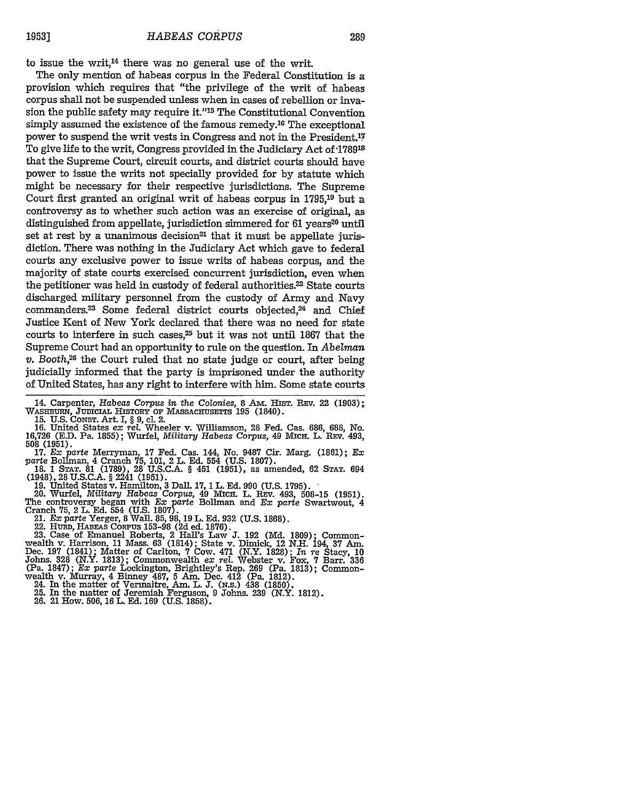to issue the writ,14 there was no general use of the writ.

The only mention of habeas corpus in the Federal Constitution is a provision which requires that "the privilege of the writ of habeas corpus shall not be suspended unless when in cases of rebellion or invasion the public safety may require it."'15 The Constitutional Convention simply assumed the existence of the famous remedy.<sup>16</sup> The exceptional power to suspend the writ vests in Congress and not in the President.<sup>17</sup> To give life to the writ, Congress provided in the Judiciary Act of '1789'8 that the Supreme Court, circuit courts, and district courts should have power to issue the writs not specially provided for by statute which might be necessary for their respective jurisdictions. The Supreme Court first granted an original writ of habeas corpus in 1795,19 but a controversy as to whether such action was an exercise of original, as distinguished from appellate, jurisdiction simmered for 61 years<sup>20</sup> until set at rest by a unanimous decision<sup>21</sup> that it must be appellate jurisdiction. There was nothing in the Judiciary Act which gave to federal courts any exclusive power to issue writs of habeas corpus, and the majority of state courts exercised concurrent jurisdiction, even when the petitioner was held in custody of federal authorities.<sup>22</sup> State courts discharged military personnel from the custody of Army and Navy commanders.<sup>23</sup> Some federal district courts objected,<sup>24</sup> and Chief Justice Kent of New York declared that there was no need for state courts to interfere in such cases,<sup>25</sup> but it was not until 1867 that the Supreme Court had an opportunity to rule on the question. In *Abelman v. Booth,26* the Court ruled that no state judge or court, after being judicially informed that the party is imprisoned under the authority of United States, has any right to interfere with him. Some state courts

14. Carpenter, *Habeas Corpus in* the *Colonies,* 8 *Am.* **HIsT.** REv. 22 (1903); WASHBURN, JUDICIAL HISTORY OF MASSACHUSETTS 195 (1840).<br>15. U.S. Const. Art. I, § 9, cl. 2.<br>16. United States *ex rel.* Wheeler v. Williamson, 28 Fed. Cas. 686, 688, No.

16,726 (E.D. Pa. 1855); Wurfel, *Military Habeas Corpus,* 49 MIcH L. R.v. 493,

508 (1951). 17. Ex *parte* Merryman, **17** Fed. Cas. 144, No. 9487 Cir. Marg. (1861); **Ex** *parte* Bollman, 4 Cranch **75,** 101, 2 L. Ed. 554 (U.S. 1807).

18. 1 **STAT.** 81 (1789), 28 U.S.C.A. § 451 (1951), as amended, 62 **STAT.** 694 (1948), 28 U.S.C.A. § 2241 (1951). 19. United States v. Hamilton, **3** Dall. **17,** 1 L. Ed. 990 **(U.S.** 1795).

20. Wurfel, *Military Habeas Corpus,* 49 Mica L. **REv.** 493, 508-15 (1951). The controversy began with Ex *parte* Bollman and **Ex** *parte* Swartwout, 4 Cranch **75,** 2 L. Ed. 554 (U.S. 1807). 21. **Ex** *parte* Yerger, 8 Wall. 85, 98, 19 L. Ed. 932 (U.S. 1868).

22. HuRD, HABEAS CORPUS 153-98 (2d ed. 1876). 23. Case of Emanuel Roberts, 2 Hall's Law **J.** 192 (Md. 1809); Commonwealth v. Harrison, 11 Mass. 63 (1814); State v. Dimick, 12 N.H. 194, 37 Am.<br>Dec. 197 (1841); Matter of Carlton, 7 Cow. 471 (N.Y. 1828); In re Stacy, 10<br>Johns. 328 (N.Y. 1813); Commonwealth ex rel. Webster v. Fox, 7 Barr. wealth v. Murray, 4 Binney 487, 5 Am. Dec. 412 (Pa. 1812). 24. In the matter of Vermaitre, Am. L. **J.** *(N.s.)* 438 (1850).

25. In the matter of Jeremiah Ferguson, 9 Johns. **239** (N.Y. 1812). **26.** 21 How. 506, 16 L. Ed. 169 (U.S. 1858).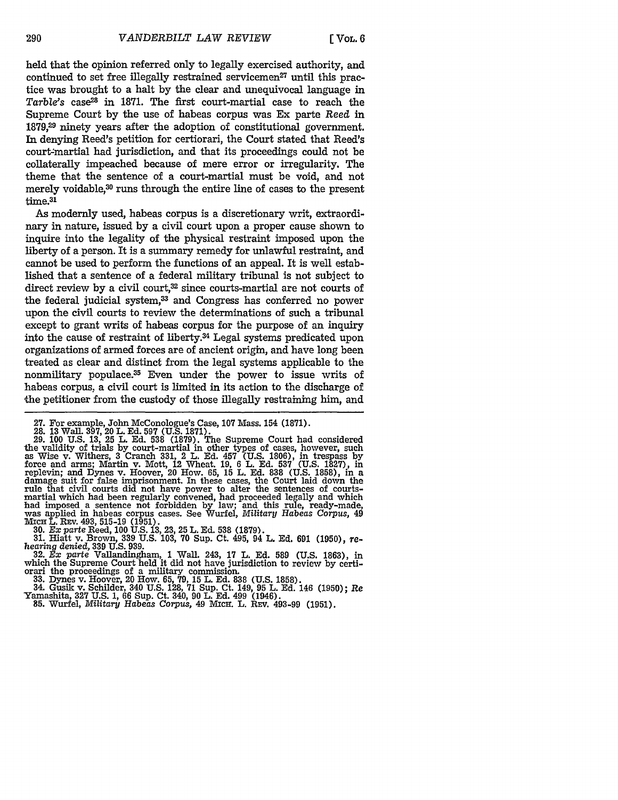held that the opinion referred only to legally exercised authority, and continued to set free illegally restrained servicemen<sup>27</sup> until this practice was brought to a halt by the clear and unequivocal language in *Tarble's* case<sup>28</sup> in 1871. The first court-martial case to reach the Supreme Court by the use of habeas corpus was Ex parte *Reed* in 1879,29 ninety years after the adoption of constitutional government. In denying Reed's petition for certiorari, the Court stated that Reed's court-'martial had jurisdiction, and that its proceedings could not be collaterally impeached because of mere error or irregularity. The theme that the sentence of a court-martial must be void, and not merely voidable,30 runs through the entire line of cases to the present time.31

As modernly used, habeas corpus is a discretionary writ, extraordinary in nature, issued **by** a civil court upon a proper cause shown to inquire into the legality of the physical restraint imposed upon the liberty of a person. It is a summary remedy for unlawful restraint, and cannot be used to perform the functions of an appeal. It is well established that a sentence of a federal military tribunal is not subject to direct review by a civil court,<sup>32</sup> since courts-martial are not courts of the federal judicial system,<sup>33</sup> and Congress has conferred no power upon the civil courts to review the determinations of such a tribunal except to grant writs of habeas corpus for the purpose of an inquiry into the cause of restraint of liberty. $34$  Legal systems predicated upon organizations of armed forces are of ancient origin, and have long been treated as clear and distinct from the legal systems applicable to the nonmilitary populace.3 Even under the power to issue writs of habeas corpus, a civil court is limited in its action to the discharge of the petitioner from the custody of those illegally restraining him, and

32. *Ex parte* Vallandingham, 1 Wall. 243, **17** L. Ed. **589** (U.S. 1863), in which the Supreme Court held it did not have jurisdiction to review by certiorari the proceedings of a military commission.

33. Dynes v. Hoover, 20 How. 65, 79, **15** L. Ed. **838 (U.S.** 1858). 34. Gusik v. Schilder, 340 U.S. 128, 71 Sup. Ct. 149, 95 L. Ed. 146 (1950); Re Yamashita, **327** U.S. 1, 66 Sup. Ct. 340, 90 L. Ed. 499 (1946). 85. Wurfel, *Military Habeas Corpus,* 49 Mic. L. REv. 493-99 (1951).

**<sup>27.</sup>** For example, John McConologue's Case, **107** Mass. 154 (1871).

<sup>28. 13</sup> Wall. 397, 20 L. Ed. **597** (U.S. 1871). 29. 100 U.S. **13,** 25 L. Ed. 538 (1879). The Supreme Court had considered the validity of trials by court-martial in other types of cases, however, such as Wise v. Withers, 3 Cranch 331, 2 L. Ed. 457 (U.S. 1806), in trespass by force and arms; Martin v. Mott, 12 Wheat. 19, 6 L. Ed. 537 (U.S. 182 replevin; and Dynes v. Hoover, 20 How. **65,** 15 L. Ed. 838 (U.S. 1858), in a damage suit for false imprisonment. In these cases, the Court laid down the rule that civil courts did not have power to alter the sentences of courtsmartial which had been regularly convened, had proceeded legally and which had imposed a sentence not forbidden by law; and this rule, ready-made, was applied in habeas corpus cases. See Wurfel, *Military Habeas Corpus*, 49<br>MICH L. REV. 493, 515-19 (1951).<br>30. Ex parte Reed, 100 U.S. 13, 23, 25 L. Ed. 538 (1879).<br>31. Hiatt v. Brown, 339 U.S. 103, 70 Sup. Ct. 495, 94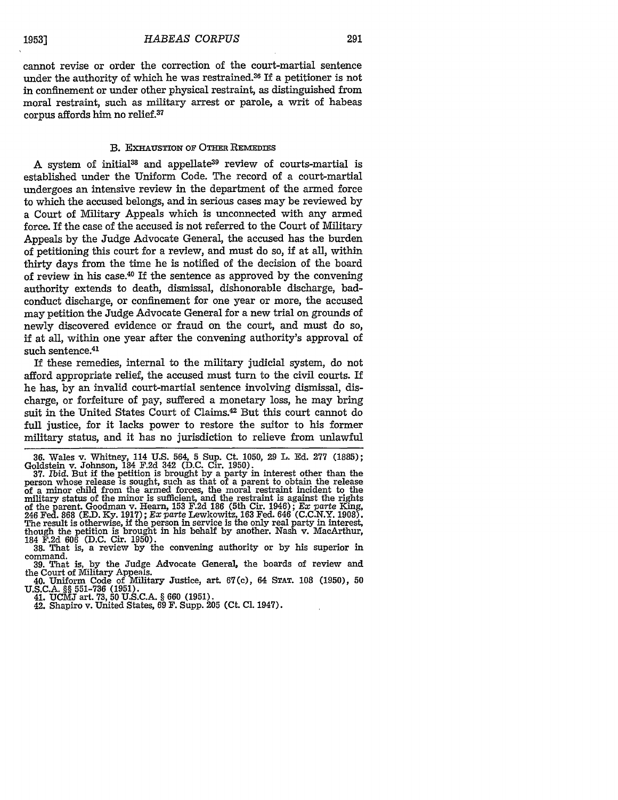cannot revise or order the correction of the court-martial sentence under the authority of which he was restrained.36 If a petitioner is not in confinement or under other physical restraint, as distinguished from moral restraint, such as military arrest or parole, a writ of habeas corpus affords him no relief.<sup>37</sup>

### **B. EXHAUSTION OF OTHER REMEDIES**

A system of initial<sup>38</sup> and appellate<sup>39</sup> review of courts-martial is established under the Uniform Code. The record of a court-martial undergoes an intensive review in the department of the armed force to which the accused belongs, and in serious cases may be reviewed by a Court of Military Appeals which is unconnected with any armed force. If the case of the accused is not referred to the Court of Military Appeals by the Judge Advocate General, the accused has the burden of petitioning this court for a review, and must do so, if at all, within thirty days from the time he is notified of the decision of the board of review in his case.40 If the sentence as approved by the convening authority extends to death, dismissal, dishonorable discharge, badconduct discharge, or confinement for one year or more, the accused may petition the Judge Advocate General for a new trial on grounds of newly discovered evidence or fraud on the court, and must do so, if at all, within one year after the convening authority's approval of such sentence.<sup>41</sup>

If these remedies, internal to the military judicial system, do not afford appropriate relief, the accused must turn to the civil courts. If he has, by an invalid court-martial sentence involving dismissal, discharge, or forfeiture of pay, suffered a monetary loss, he may bring suit in the United States Court of Claims.<sup>42</sup> But this court cannot do full justice, for it lacks power to restore the suitor to his former military status, and it has no jurisdiction to relieve from unlawful

184 F.2d **606 (D.C.** Cir. **1950).** 38. That is, a review by the convening authority or by his superior in command.

**39.** That is, by the Judge Advocate General, the boards of review and the Court of Military Appeals. 40. Uniform Code of Military Justice, art. 67(c), 64 **STAT. 108 (1950), 50**

**U.S.C.A.** §§ **551-736 (1951).** 41. **UCMJ** art. **73, 50 U.S.C.A.** § **660 (1951).**

42. Shapiro v. United States, **69 F.** Supp. **205** (Ct. **Cl.** 1947).

**<sup>36.</sup>** Wales v. Whitney, 114 U.S. 564, **5** Sup. Ct. 1050, **29** L. Ed. 277 (1885); Goldstein v. Johnson, 184 F.2d 342 (D.C. Cir. 1950). 37. Ibid. But if the petition is brought by a party in interest other than the

person whose release is sought, such as that of a parent to obtain the release of a minor child from the armed forces, the moral restraint incident to the military status of the minor is sufficient, and the restraint is against the rights of the parent. Goodman v. Hearn, 153 F.2d 186 (5th Cir. 1946); *Ex parte* King, 246 Fed. **868** (E.D. Ky. 1917); *Ex parte* Lewkowitz, **163** Fed. 646 (C.C.N.Y. 1908). The result is otherwise, if the person in service is the only real party in interest, though the petition is brought in his behalf by another. Nash v. MacArthur,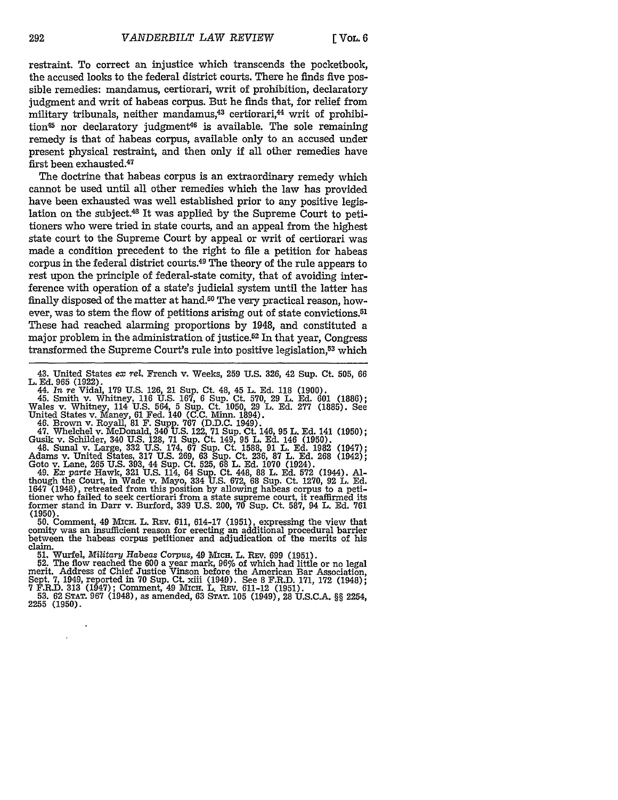restraint. To correct an injustice which transcends the pocketbook, the accused looks to the federal district courts. There he finds five possible remedies: mandamus, certiorari, writ of prohibition, declaratory judgment and writ of habeas corpus. But he finds that, for relief from military tribunals, neither mandamus,<sup>43</sup> certiorari,<sup>44</sup> writ of prohibition<sup>45</sup> nor declaratory judgment<sup>46</sup> is available. The sole remaining remedy is that of habeas corpus, available only to an accused under present physical restraint, and then only if all other remedies have first been exhausted.<sup>47</sup>

The doctrine that habeas corpus is an extraordinary remedy which cannot be used until all other remedies which the law has provided have been exhausted was well established prior to any positive legislation on the subject.48 It was applied **by** the Supreme Court to petitioners who were tried in state courts, and an appeal from the highest state court to the Supreme Court **by** appeal or writ of certiorari was made a condition precedent to the right to file a petition for habeas corpus in the federal district courts.49 The theory of the rule appears to rest upon the principle of federal-state comity, that of avoiding interference with operation of a state's judicial system until the latter has finally disposed of the matter at hand.50 The very practical reason, however, was to stem the flow of petitions arising out of state convictions.<sup>51</sup> These had reached alarming proportions by 1948, and constituted a major problem in the administration of justice.52 In that year, Congress transformed the Supreme Court's rule into positive legislation,53 which

43. United States *ex* rei. French v. Weeks, 259 **U.S.** 326, 42 Sup. Ct. 505, 66 L. Ed. 965 (1922). 44. *In re* Vidal, 179 U.S. 126, 21 Sup. Ct. 48, 45 L. Ed. **118** (1900).

45. Smith v. Whitney, 116 U.S. 167, 6 Sup. Ct. 570, 29 L. Ed. 601 (1886); Wales v. Whitney, 114 U.S. 564, 5 Sup. Ct. 1050, 29 L. Ed. 277 (1885). See United States v. Maney, 61 Fed. 140 (C.C. Minn. 1894). 46. Brown v. Royall, 81 F. Supp. 767 (D.D.C. 1949).

 $\ddot{\phantom{0}}$ 

47. Whelchel v. McDonald, 340 U.S. 122, 71 Sup. Ct. 146, 95 L. Ed. 141 (1950); Gusik v. Schilder, 340 U.S. 128, 71 Sup. Ct. 149, 95 L. Ed. 146 (1950).

48. Sunal v. Large, **332** U.S. 174, 67 Sup. Ct. 1588, 91 L. Ed. 1982 (1947); Adams v. United States, **317** U.S. 269, 63 Sup. Ct. 236, 87 L. Ed. 268 (1942);

Goto v. Lane, 265 U.S. 393, 44 Sup. Ct. 525, 68 L. Ed. 1070 (1924).<br>49. Ex parte Hawk, 321 U.S. 114, 64 Sup. Ct. 448, 88 L. Ed. 572 (1944). Al-<br>though the Court, in Wade v. Mayo, 334 U.S. 672, 68 Sup. Ct. 1270, 92 L. Ed.<br>1 former stand in Darr v. Burford, **339** U.S. 200, 70 Sup. Ct. 587, 94 L. Ed. 761 **(1950).**

**50.** Comment, 49 1Mcm L. REV. **611,** 614-17 **(1951),** expressing the view that comity was an insufficient reason for erecting an additional procedural barrier between the habeas corpus petitioner and adjudication of the merits of his claim.

**51.** Wurfel, *Military Habeas Corpus,* 49 MICH. L. REv. 699 **(1951). 52.** The flow reached the **600** a year mark, 96% of which had little or no legal merit. Address of Chief Justice Vinson before the American Bar Association, Sept. **7,** 1949, reported in **70** Sup. Ct. xiii (1949). See 8 F.R.D. **171, 172** (1948); 7 F.R.D. **313** (1947); Comment, 49 MIcir. L. REV. **611-12 (1951). 53. 62 STAT. 967** (1948), as amended, **63 STAT. 105** (1949), 28 **U.S.C.A.** §§ 2254,

**2255 (1950).**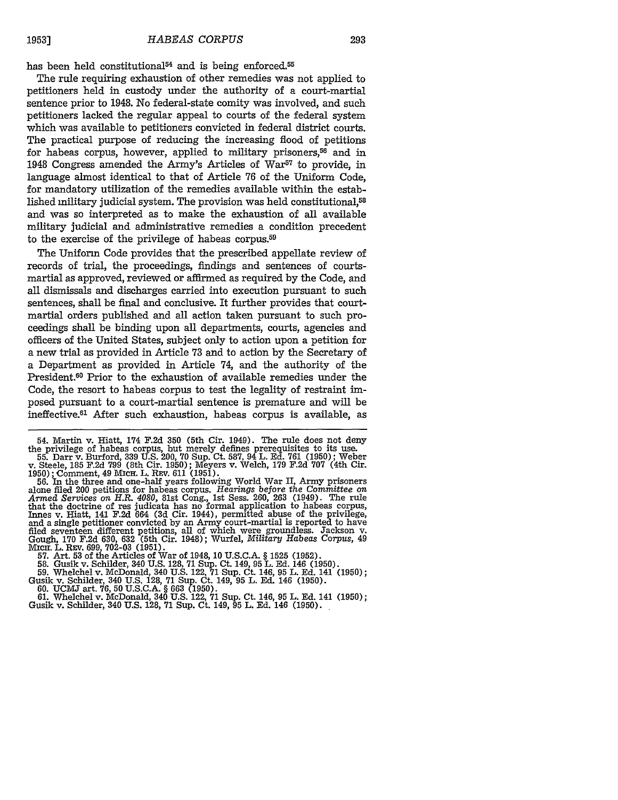has been held constitutional<sup> $54$ </sup> and is being enforced.<sup>55</sup>

The rule requiring exhaustion of other remedies was not applied to petitioners held in custody under the authority of a court-martial sentence prior to 1948. No federal-state comity was involved, and such petitioners lacked the regular appeal to courts of the federal system which was available to petitioners convicted in federal district courts. The practical purpose of reducing the increasing flood of petitions for habeas corpus, however, applied to military prisoners,  $56$  and in 1948 Congress amended the Army's Articles of War<sup>57</sup> to provide, in language almost identical to that of Article 76 of the Uniform Code, for mandatory utilization of the remedies available within the established military judicial system. The provision was held constitutional,<sup>58</sup> and was so interpreted as to make the exhaustion of all available military judicial and administrative remedies a condition precedent to the exercise of the privilege of habeas corpus.59

The Uniform Code provides that the prescribed appellate review of records of trial, the proceedings, findings and sentences of courtsmartial as approved, reviewed or affirmed as required by the Code, and all dismissals and discharges carried into execution pursuant to such sentences, shall be final and conclusive. It further provides that courtmartial orders published and all action taken pursuant to such proceedings shall be binding upon all departments, courts, agencies and officers of the United States, subject only to action upon a petition for a new trial as provided in Article **73** and to action by the Secretary of a Department as provided in Article 74, and the authority of the President.<sup>60</sup> Prior to the exhaustion of available remedies under the Code, the resort to habeas corpus to test the legality of restraint imposed pursuant to a court-martial sentence is premature and will be ineffective.61 After such exhaustion, habeas corpus is available, as

54. Martin v. Hiatt, 174 F.2d 350 (5th Cir. 1949). The rule does not deny<br>the privilege of habeas corpus, but merely defines prerequisites to its use.<br>55. Darr v. Burford, 339 U.S. 200, 70 Sup. Ct. 587, 94 L. Ed. 761 (1950

**56.** In the three and one-half years following World War II, Army prisoners alone filed 200 petitions for habeas corpus. *Hearings before the Committee on Armed Services on H.R. 4080,* 81st Cong., 1st Sess. 260, 263 (1949). The rule that the doctrine of res judicata has no formal application to habeas corpus, Innes v. Hiatt, 141 F.2d 664 (3d Cir. 1944), permitted abuse of the privilege, and a single petitioner convicted **by** an Army court-martial is reported to have filed seventeen different petitions, all of which were groundless. Jackson v. Gough, **170** F.2d 630, 632 (5th Cir. 1948); Wurfel, *Military Habeas Corpus,* <sup>49</sup> 1MIcH. L. R v. 699, 702-03 (1951).

57. Art. 53 of the Articles of War of 1948, 10 U.S.C.A. § 1525 (1952).<br>58. Gusik v. Schilder, 340 U.S. 128, 71 Sup. Ct. 149, 95 L. Ed. 146 (1950).<br>59. Whelchel v. McDonald, 340 U.S. 122, 71 Sup. Ct. 146, 95 L. Ed. 141 (195 Gusik v. Schilder, 340 U.S. 128, **71** Sup. Ct. 149, **95** L. Ed. 146 (1950). 60. UCMJ art. **76,** 50 U.S.C.A. § 663 (1950).

61. Whelchel v. McDonald, 340 U.S. 122, **71** Sup. Ct. 146, 95 L. Ed. 141 (1950); Gusik v. Schilder, 340 U.S. 128, **71** Sup. Ct. 149, 95 L. Ed. 146 (1950).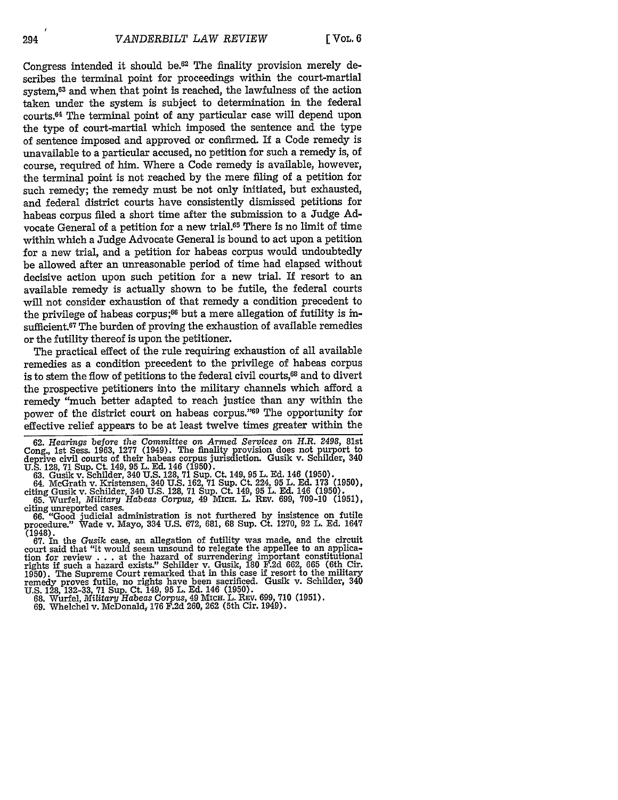Congress intended it should be.62 The finality provision merely describes the terminal point for proceedings within the court-martial system, 63 and when that point is reached, the lawfulness of the action taken under the system is subject to determination in the federal courts.64 The terminal point of any particular case will depend upon the type of court-martial which imposed the sentence and the type of sentence imposed and approved or confirmed. If a Code remedy is unavailable to a particular accused, no petition for such a remedy is, of course, required of him. Where a Code remedy is available, however, the terminal point is not reached by the mere filing of a petition for such remedy; the remedy must be not only initiated, but exhausted, and federal district courts have consistently dismissed petitions for habeas corpus filed a short time after the submission to a Judge Advocate General of a petition for a new trial.65 There is no limit of time within which a Judge Advocate General is bound to act upon a petition for a new trial, and a petition for habeas corpus would undoubtedly be allowed after an unreasonable period of time had elapsed without decisive action upon such petition for a new trial. If resort to an available remedy is actually shown to be futile, the federal courts will not consider exhaustion of that remedy a condition precedent to the privilege of habeas corpus;<sup>66</sup> but a mere allegation of futility is insufficient.67 The burden of proving the exhaustion of available remedies or the futility thereof is upon the petitioner.

The practical effect of the rule requiring exhaustion of all available remedies as a condition precedent to the privilege of habeas corpus is to stem the flow of petitions to the federal civil courts, 68 and to divert the prospective petitioners into the military channels which afford a remedy "much better adapted to reach justice than any within the power of the district court on habeas corpus."<sup>69</sup> The opportunity for effective relief appears to be at least twelve times greater within the

62. *Hearings before the Committee on Armed Services* on *H.R. 2498,* 81st Cong., 1st Sess. 1963, 1277 (1949). The finality provision does not purport to deprive civil courts of their habeas corpus jurisdiction. Gusik v. Schilder, 340 U.S. 128, **71** Sup. Ct. 149, 95 L. Ed. 146 (1950). 63. Gusik v. Schilder, 340 U.S. 128, **71** Sup. Ct. 149, 95 L. Ed. 146 (1950).

64. McGrath v. Kristensen, 340 U.S. 162, 71 Sup. Ct. 224, 95 L. Ed. **173** (1950), citing Gusik v. Schilder, 340 U.S. 128, 71 Sup. Ct. 149, 95 L. Ed. 146 (1950). 65. Wurfel, *Military Habeas Corpus,* 49 Mcr. L. REv. 699, 709-10 (1951),

citing unreported cases. 66. "Good judicial administration is not furthered by insistence on futile procedure." Wade v. Mayo, 334 U.S. 672, 681, 68 Sup. Ct. 1270, 92 L. Ed. 1647 (1948).

**67.** In the *Gusik* case, an allegation of futility was made, and the circuit court said that "it would seem unsound to relegate the appellee to an application for review . . . at the hazard of surrendering important constitutional rights if such a hazard exists." Schilder v. Gusik, 180 F.2d 662, 665 (6th Cir. 1950). The Supreme Court remarked that in this case if resort to the military remedy proves futile, no rights have been sacrificed. Gusik v. Schilder, 340<br>U.S. 128, 132-33, 71 Sup. Ct. 149, 95 L. Ed. 146 (1950).<br>68. Wurfel, Military Habeas Corpus, 49 MICH. L. REV. 699, 710 (1951).<br>69. Whelchel v. Mc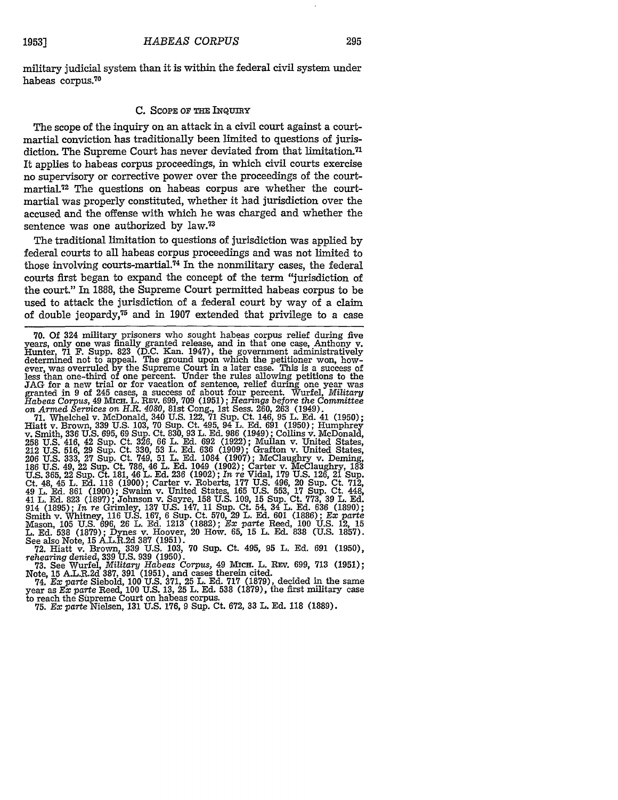military judicial system than it is within the federal civil system under habeas corpus.<sup>70</sup>

#### **C. SCOPE** OF **THE** INQUIRY

The scope of the inquiry on an attack in a civil court against a courtmartial conviction has traditionally been limited to questions of jurisdiction. The Supreme Court has never deviated from that limitation.<sup>71</sup> It applies to habeas corpus proceedings, in which civil courts exercise no supervisory or corrective power over the proceedings of the courtmartial.72 The questions on habeas corpus are whether the courtmartial was properly constituted, whether it had jurisdiction over the accused and the offense with which he was charged and whether the sentence was one authorized by law.<sup>73</sup>

The traditional limitation to questions of jurisdiction was applied **by** federal courts to all habeas corpus proceedings and was not limited to those involving courts-martial. 74 In the nonmilitary cases, the federal courts first began to expand the concept of the term "jurisdiction of the court." In **1888,** the Supreme Court permitted habeas corpus to be used to attack the jurisdiction of a federal court **by** way of a claim of double jeopardy,75 and in **1907** extended that privilege to a case

Hiatt v. Brown, 339 U.S. 103, **70** Sup. Ct. 495, 94 L. Ed. 691 (1950); Humphrey v. Smith, 336 U.S. 695, 69 Sup. Ct. 830, 93 L. Ed. 986 (1949); Collins v. McDonald, 258 U.S. 416, 42 Sup. Ct. 326, 66 L. Ed. 692 (1922); Mullan v. United States, 212 U.S. 516, 29 Sup. Ct. 330, 53 L. Ed. 636 (1909); Grafton 206 U.S. 333, 27 Sup. Ct. 749, **51** L. Ed. 1084 (1907); McClaughry v. Deming, 186 U.S. 49, 22 Sup. Ct. 786, 46 L. Ed. 1049 (1902); Carter v. McClaughry, 183 U.S. 365, 22 Sup. Ct. 181, 46 L. Ed. 236 (1902); *In re* Vidal, **179** U.S. 126, 21 Sup. Ct. 48, 45 L. Ed. 118 (1900); Carter v. Roberts, 177 U.S. 496, 20 Sup. Ct. 712,<br>49 L. Ed. 861 (1900); Swaim v. United States, 165 U.S. 553, 17 Sup. Ct. 448,<br>41 L. Ed. 823 (1897); Johnson v. Sayre, 158 U.S. 109, 15 Sup. Ct. 914 (1895); *In re* Grimley, 137 U.S. 147, 11 Sup. Ct. 54, 34 L. Ed. 636 (1890); Smith v. Whitney, 116 U.S. 167, 6 Sup. Ct. 570, 29 L. Ed. 601 (1886); *Ex parte* Mason, 105 U.S. 696, 26 L. Ed. 1213 (1882); *Ex parte* Reed, L. Ed. **538** (1879); Dynes v. Hoover, 20 How. **65, 15** L. Ed. 838 (U.S. 1857). See also Note, **15** A.L.R.2d **387 (1951).** 72. Hiatt v. Brown, **339** U.S. 103, 70 Sup. Ct. 495, 95 L. Ed. 691 (1950),

*rehearing* denied, 339 U.S. 939 (1950). 73. See Wurfel, *Military Habeas Corpus,* 49 **1ica.** L. REv. 699, 713 (1951);

Note, 15 A.L.R.2d 387, **391** (1951), and cases therein cited. 74. *Ex parte* Siebold, 100 U.S. **371,** 25 L. Ed. **717** (1879), decided in the same

year as  $Ex$  parte Reed, 100 U.S. 13, 25 L. Ed. 538 (1879), the first military case to reach the Supreme Court on habeas corpus.<br>75.  $Ex$  parte Nielsen, 131 U.S. 176, 9 Sup. Ct. 672, 33 L. Ed. 118 (1889).

**<sup>70.</sup>** Of 324 military prisoners who sought habeas corpus relief during five years, only one was finally granted release, and in that one case, Anthony v. Hunter, **71** F. Supp. **823 (D.C.** Kan. 1947), the government administratively determined not to appeal. The ground upon which the petitioner won, however, was overruled by the Supreme Court in a later case. This is a success of less than one-third of one percent. Under the rules allowing petitions to the less than one-third of one percent. Under the rules allowing petitions to the **JAG** for a new trial or for vacation of sentence, relief during one year was granted in 9 of 245 cases, a success of about four percent. Wurfel, *Military* Habeas Corpus, 49 MICH. L. REV. 699, 709 (1951); Hearings before the Committee on Armed Services on H.R. 4080, 81st Cong., 1st Sess. 260, 263 (1949).<br>71. Whelchel v. McDonald, 340 U.S. 122, 71 Sup. Ct. 146, 95 L. Ed. 41 (1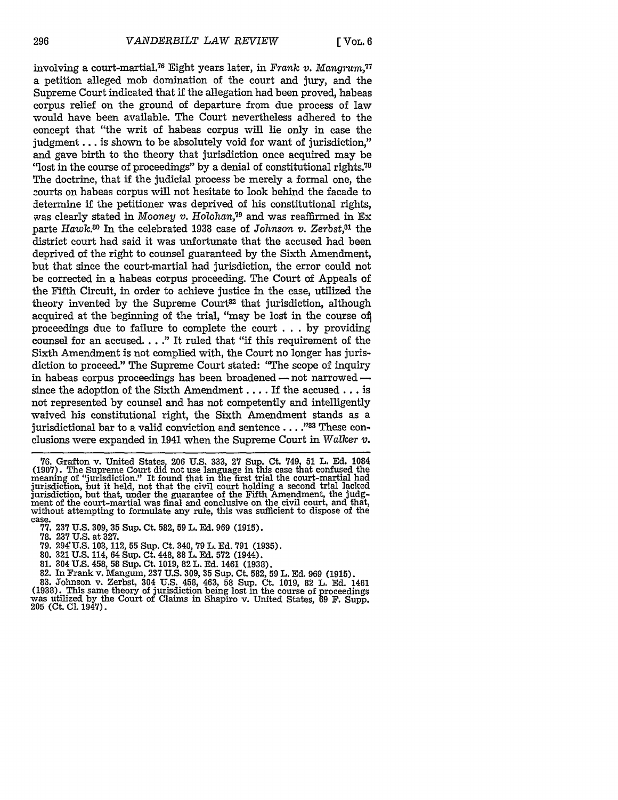involving a court-martial.<sup>76</sup> Eight years later, in *Frank v. Mangrum*,<sup>77</sup> a petition alleged mob domination of the court and jury, and the Supreme Court indicated that if the allegation had been proved, habeas corpus relief on the ground of departure from due process of law would have been available. The Court nevertheless adhered to the concept that "the writ of habeas corpus will lie only in case the judgment **...** is shown to be absolutely void for want of jurisdiction," and gave birth to the theory that jurisdiction once acquired may be "lost in the course of proceedings" by a denial of constitutional rights. $78$ The doctrine, that if the judicial process be merely a formal one, the courts on habeas corpus will not hesitate to look behind the facade to determine if the petitioner was deprived of his constitutional rights, was clearly stated in Mooney *v. Holohan,79* and was reaffirmed in Ex parte *Hawk.80* In the celebrated **1938** case of Johnson *v.* Zerbst,81 the district court had said it was unfortunate that the accused had been deprived of the right to counsel guaranteed by the Sixth Amendment, but that since the court-martial had jurisdiction, the error could not be corrected in a habeas corpus proceeding. The Court of Appeals of the Fifth Circuit, in order to achieve justice in the case, utilized the theory invented by the Supreme Court<sup>82</sup> that jurisdiction, although acquired at the beginning of the trial, "may be lost in the course of proceedings due to failure to complete the court . . . by providing counsel for an accused... **."** It ruled that "if this requirement of the Sixth Amendment is not complied with, the Court no longer has jurisdiction to proceed." The Supreme Court stated: "The scope of inquiry in habeas corpus proceedings has been broadened- not narrowed  since the adoption of the Sixth Amendment .... If the accused **...** is not represented by counsel and has not competently and intelligently waived his constitutional right, the Sixth Amendment stands as a jurisdictional bar to a valid conviction and sentence . . . .<sup>193</sup> These conclusions were expanded in 1941 when the Supreme Court in *Walker* v.

76. Grafton v. United States, 206 U.S. 333, 27 Sup. Ct. 749, 51 L. Ed. 1084 (1907). The Supreme Court did not use language in this case that confused the meaning of "jurisdiction." It found that in the first trial the cour jurisdiction, but it held, not that the civil court holding a second trial lacked jurisdiction, but that, under the guarantee of the Fifth Amendment, the **judg**ment of the court-martial was final and conclusive on the civil court, and that, without attempting to formulate any rule, this was sufficient to dispose of the case.

- **77. 237 U.S. 309, 35** Sup. Ct. **582, 59** L. **Ed. 969 (1915).**
- **78. 237 U.S.** at **327.**
- **79. 294'U.S. 103,** 112, 55 Sup. Ct. 340, **79** L. **Ed. 791 (1935).**
- **80. 321 U.S.** 114, 64 Sup. Ct. 448, **88** L. **Ed. 572** (1944).
- **81.** 304 **U.S.** 458, **58** Sup. Ct. **1019, 82** L. **Ed.** 1461 **(1938).**
- 82. In Frank v. Mangum, 237 **U.S. 309, 35** Sup. Ct. **582, 59** L. **Ed. 969 (1915).**

**83. Johnson v. Zerbst, 304 U.S. 458, 463, 58 Sup. Ct. 1019, 82 L. Ed. 1461**<br>(1938). This same theory of jurisdiction being lost in the course of proceedings) was utilized **by** the Court of Claims in Shapiro v. United States, **69** F. Supp. **<sup>205</sup>**(Ct. **Cl.** 1947).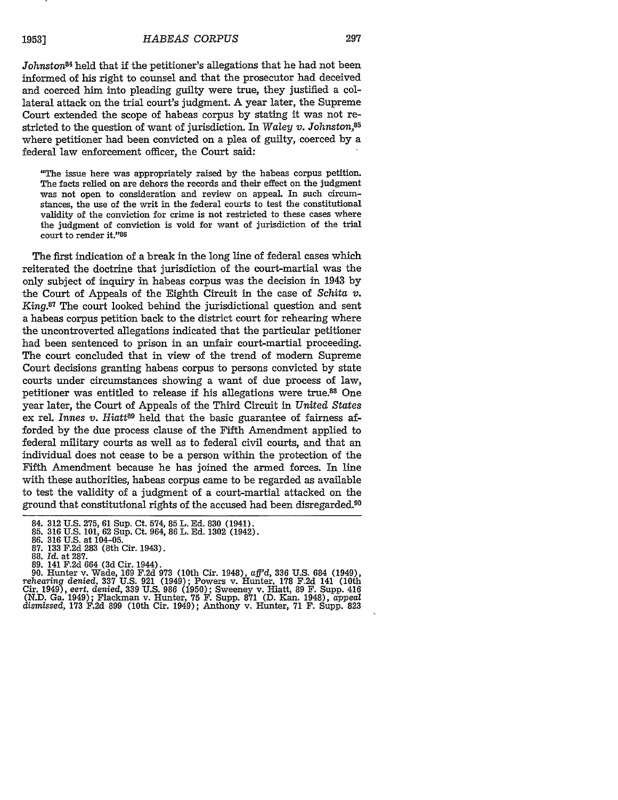**1953]**

Johnston<sup>84</sup> held that if the petitioner's allegations that he had not been informed of his right to counsel and that the prosecutor had deceived and coerced him into pleading guilty were true, they justified a collateral attack on the trial court's judgment. A year later, the Supreme Court extended the scope of habeas corpus by stating it was not restricted to the question of want of jurisdiction. In *Waley v.* Johnston,85 where petitioner had been convicted on a plea of guilty, coerced by a federal law enforcement officer, the Court said:

"The issue here was appropriately raised by the habeas corpus petition. The facts relied on are dehors the records and their effect on the judgment was not open to consideration and review on appeal. In such circumstances, the use of the writ in the federal courts to test the constitutional validity of the conviction for crime is not restricted to these cases where the judgment of conviction is void for want of jurisdiction of the trial court to render it."86

The first indication of a break in the long line of federal cases which reiterated the doctrine that jurisdiction of the court-martial was the only subject of inquiry in habeas corpus was the decision in 1943 by the Court of Appeals of the Eighth Circuit in the case of *Schita v. King.87* The court looked behind the jurisdictional question and sent a habeas corpus petition back to the district court for rehearing where the uncontroverted allegations indicated that the particular petitioner had been sentenced to prison in an unfair court-martial proceeding. The court concluded that in view of the trend of modern Supreme Court decisions granting habeas corpus to persons convicted by state courts under circumstances showing a want of due process of law, petitioner was entitled to release if his allegations were true.88 One year later, the Court of Appeals of the Third Circuit in *United States* ex rel. *Innes v. Hiatt<sup>89</sup>* held that the basic guarantee of fairness afforded by the due process clause of the Fifth Amendment applied to federal military courts as well as to federal civil courts, and that an individual does not cease to be a person within the protection of the Fifth Amendment because he has joined the armed forces. In line with these authorities, habeas corpus came to be regarded as available to test the validity of a judgment of a court-martial attacked on the ground that constitutional rights of the accused had been disregarded.<sup>90</sup>

89. 141 F.2d 664 (3d Cir. 1944).<br>90. Hunter v. Wade, 169 F.2d 973 (10th Cir. 1948), aff'd, 336 U.S. 684 (1949).<br>rehearing denied, 337 U.S. 921 (1949); Powers v. Hunter, 178 F.2d 141 (10th<br>Cir. 1949), eert. denied, 339 U.S. (N.D. Ga. 1949); Flackman v. Hunter, **75** F. Supp. **871** (D. Kan. 1948), appeal *dismissed,* 173 F.2d 899 (10th Cir. 1949); Anthony v. Hunter, **71** F. Supp. 823

<sup>84.</sup> **312** U.S. 275, 61 Sup. Ct. 574, 85 L. Ed. 830 (1941).

<sup>85. 316</sup> U.S. **101,** 62 Sup. Ct. 964, 86 L. Ed. 1302 (1942). 86. 316 U.S. at 104-05. 86. **316 U.S. 101, 02 Sup. Ct. 964, 86. 316 U.S. at 104-05.**<br>87. 133 F.2d 283 (8th Cir. 1943).<br>88. *Id.* at 287. **89. 141 F.2d 664 (3d Cir. 1944)**.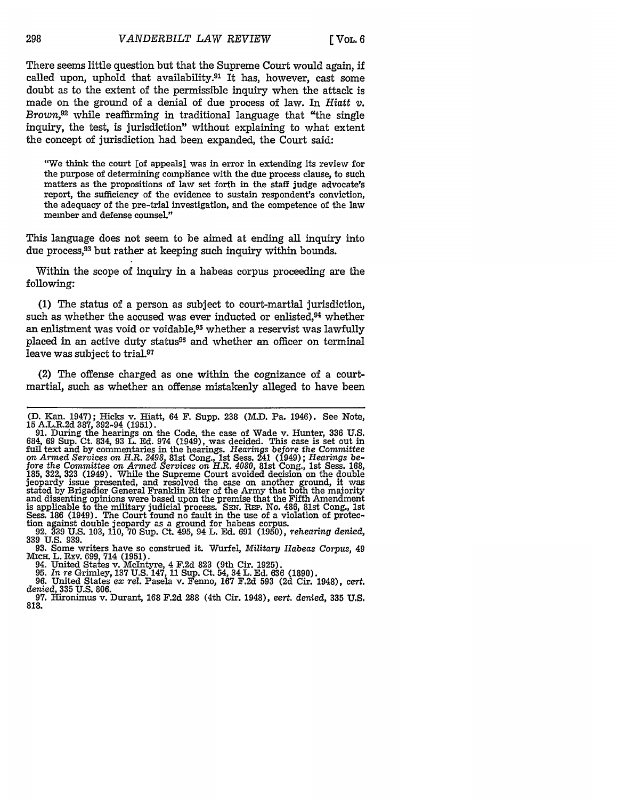There seems little question but that the Supreme Court would again, if called upon, uphold that availability.<sup>91</sup> It has, however, cast some doubt as to the extent of the permissible inquiry when the attack is made on the ground of a denial of due process of law. In Hiatt *v. Brown,92* while reaffirming in traditional language that "the single inquiry, the test, is jurisdiction" without explaining to what extent the concept of jurisdiction had been expanded, the Court said:

"We think the court [of appeals] was in error in extending its review for the purpose of determining compliance with the due process clause, to such matters as the propositions of law set forth in the staff judge advocate's report, the sufficiency of the evidence to sustain respondent's conviction, the adequacy of the pre-trial investigation, and the competence of the law member and defense counsel."

This language does not seem to be aimed at ending all inquiry into due process,<sup>93</sup> but rather at keeping such inquiry within bounds.

Within the scope of inquiry in a habeas corpus proceeding are the following:

(1) The status of a person as subject to court-martial jurisdiction, such as whether the accused was ever inducted or enlisted,<sup>94</sup> whether an enlistment was void or voidable,<sup>95</sup> whether a reservist was lawfully placed in an active duty status96 and whether an officer on terminal leave was subject to trial.97

(2) The offense charged as one within the cognizance of a courtmartial, such as whether an offense mistakenly alleged to have been

tion against double jeopardy as a ground for habeas corpus.<br>22. 339 U.S. 103, 110, 70 Sup. Ct. 495, 94 L. Ed. 691 (1950), rehearing denied, **339** U.S. 939.

93. Some writers have so construed it. Wurfel, *Military Habeas Corpus,* 49

1. Inited States v. McIntyre, 4 F.2d 823 (9th Cir. 1925).<br>95. In re Grimley, 137 U.S. 147, 11 Sup. Ct. 54, 34 L. Ed. 636 (1890).<br>96. United States ex rel. Pasela v. Fenno, 167 F.2d 593 (2d Cir. 1948), cert. *denied,* 335 U.S. 806.

97. Hironimus v. Durant, 168 F.2d 288 (4th Cir. 1948), cert. *denied,* **335** U.S. **818.**

<sup>(</sup>D. Kan. 1947); Hicks v. Hiatt, 64 **F.** Supp. **238** (M.D. Pa. 1946). See Note, 15 A.L.R.2d **387,** 392-94 (1951). 91. During the hearings on the Code, the case of Wade v. Hunter, **336 U.S.**

<sup>684, 69</sup> Sup. Ct. 834, 93 L. Ed. 974 (1949), was decided. This case is set out in full text and by commentaries in the hearings. *Hearings before the Committee* on *Armed Services on H.R. 2498*, 81st Cong., 1st Sess. 241 (1 185, 322, 323 (1949). While the Supreme Court avoided decision on the double jeopardy issue presented, and resolved the case on another ground, it was stated by Brigadier General Franklin Riter of the Army that both the majority and dissenting opinions were based upon the premise that the Fifth Amendment is applicable to the military judicial process. **SEN. REP.** No. 486, 81st Cong., 1st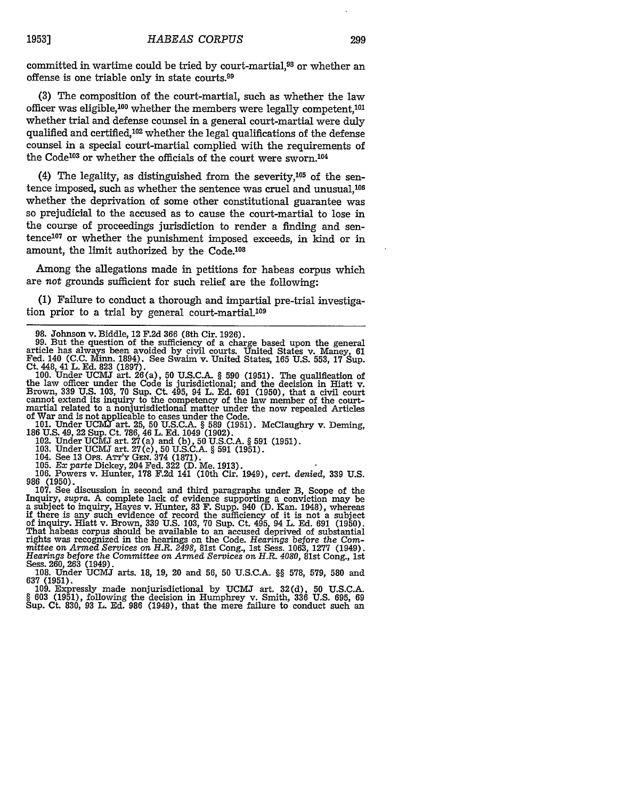committed in wartime could be tried by court-martial,<sup>98</sup> or whether an offense is one triable only in state courts. <sup>99</sup>

(3) The composition of the court-martial, such as whether the law officer was eligible, $^{100}$  whether the members were legally competent, $^{101}$ whether trial and defense counsel in a general court-martial were duly qualified and certified,<sup>102</sup> whether the legal qualifications of the defense counsel in a special court-martial complied with the requirements of the Code<sup>103</sup> or whether the officials of the court were sworn.<sup>104</sup>

(4) The legality, as distinguished from the severity, $105$  of the sentence imposed, such as whether the sentence was cruel and unusual,<sup>106</sup> whether the deprivation of some other constitutional guarantee was so prejudicial to the accused as to cause the court-martial to lose in the course of proceedings jurisdiction to render a finding and sentence<sup>107</sup> or whether the punishment imposed exceeds, in kind or in amount, the limit authorized by the Code.108

Among the allegations made in petitions for habeas corpus which are not grounds sufficient for such relief are the following:

(1) Failure to conduct a thorough and impartial pre-trial investigation prior to a trial by general court-martial.<sup>109</sup>

of War and is not applicable to cases under the Code.<br>101. Under UCMJ art. 25, 50 U.S.C.A. § 589 (1951). McClaughry v. Deming,<br>186 U.S. 49, 22 Sup. Ct. 786, 46 L. Ed. 1049 (1902).<br>102. Under UCMJ art. 27 (a) and (b), 50 U.

105. *Ex parte* Dickey, 204 Fed. 322 (D. Me. 1913). 106. Powers v. Hunter, 178 F.2d 141 (10th Cir. 1949), *cert. denied,* 339 U.S.

986 (1950).<br>107. See discussion in second and third paragraphs under B, Scope of the Inquiry, *supra.* A complete lack of evidence supporting a conviction may be a subject to inquiry, Hayes v. Hunter, 83 F. Supp. 940 (D. Kan. 1948), whereas if there is any such evidence of record the sufficiency of it is not a subject<br>of inquiry. Hiatt v. Brown, 339 U.S. 103, 70 Sup. Ct. 495, 94 L. Ed. 691 (1950)<br>That habeas corpus should be available to an accused deprived o rights was recognized in the hearings on the Code. *Hearings before the* Committee on *Armed Services on H.R. 2498,* 81st Cong., 1st Sess. 1063, 1277 (1949). *Hearings before the Committee on Armed Services on H.R. 4080,* 81st Cong., 1st Hearings before the Committee on Armed Services on H.R. 4080, 81st Cong., 1st Sess. 260, 263 (1949).<br>108. Under UCMJ arts. 18, 19, 20 and 56, 50 U.S.C.A. §§ 578, 579, 580 and

637 (1951).<br>109. Expressly made nonjurisdictional by UCMJ art. 32(d), 50 U.S.C.A.<br>§ 603 (1951), following the decision in Humphrey v. Smith, 336 U.S. 695, 69<br>Sup. Ct. 830, 93 L. Ed. 986 (1949), that the mere failure to co

<sup>98.</sup> Johnson v. Biddle, 12 F.2d 366 (8th Cir. 1926).

<sup>99.</sup> But the question of the sufficiency of a charge based upon the general article has always been avoided by civil courts. United States v. Maney, 61 Fed. 140 (C.C. Minn. 1894). See Swaim v. United States, 165 U.S. 553, 17 Sup.<br>Ct. 448, 41 L. Ed. 823 (1897).<br>100. Under UCMJ art. 26(a), 50 U.S.C.A. § 590 (1951). The qualification of

the law officer under the Code is jurisdictional; and the decision in Hiatt v. Brown, 339 U.S. 103, 70 Sup. Ct. 495, 94 L. Ed. 691 (1950), that a civil court cannot extend its inquiry to the competency of the law member of the court-martial related to a nonjurisdictional matter under the now repealed Articles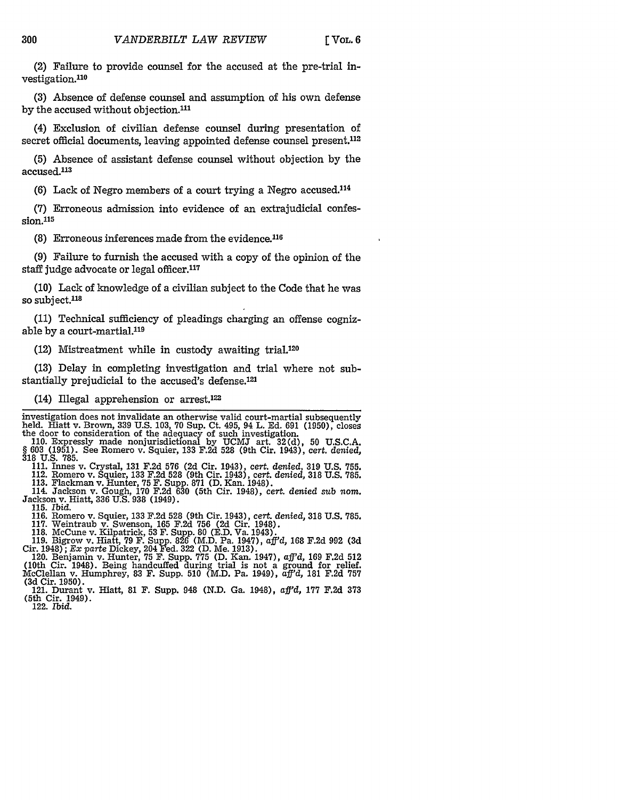(2) Failure to provide counsel for the accused at the pre-trial investigation.<sup>110</sup>

(3) Absence of defense counsel and assumption of his own defense by the accused without objection.<sup>111</sup>

(4) Exclusion of civilian defense counsel during presentation of secret official documents, leaving appointed defense counsel present.<sup>112</sup>

(5) Absence of assistant defense counsel without objection by the accused.<sup>113</sup>

(6) Lack of Negro members of a court trying a Negro accused. $114$ 

(7) Erroneous admission into evidence of an extrajudicial confession.115

(8) Erroneous inferences made from the evidence. $116$ 

(9) Failure to furnish the accused with a copy of the opinion of the staff judge advocate or legal officer. $117$ 

(10) Lack of knowledge of a civilian subject to the Code that he was so subject. $118$ 

(11) Technical sufficiency of pleadings charging an offense cognizable by a court-martial.<sup>119</sup>

(12) Mistreatment while in custody awaiting trial.120

(13) Delay in completing investigation and trial where not substantially prejudicial to the accused's defense.<sup>121</sup>

(14) Illegal apprehension or arrest. $122$ 

111. Innes v. Crystal, 131 F.2d 576 (2d Cir. 1943), *cert. denied,* **319** U.S. 755. 112. Romero v. Squier, **133** F.2d **528** (9th Cir. 1943), cert. denied, **318** U.S. 785.

113. Flackman v. Hunter, 75 F. Supp. 871 **(D.** Kan. 1948). 114. Jackson v. Gough, 170 F.2d **630** (5th Cir. 1948), cert. *denied sub nom.* Jackson v. Hiatt, 336 U.S. **938** (1949).

115. *Ibid.* 116. Romero v. Squier, **133** F.2d **528** (9th Cir. 1943), cert. denied, **318** U.S. **785.** 117. Weintraub v. Swenson, 165 F.2d 756 (2d Cir. 1948).

118. McCune v. Kilpatrick, **53** F. Supp. 80 (E.D. Va. 1943).

119. Bigrow v. Hiatt, 79 F. Supp. **826** (M.D. Pa. 1947), *aff'd,* **168** F.2d 992 **(3d** Cir. 1948); *Ex parte* Dickey, 204 Fed. **322 (D.** Me. 1913).

120. Benjamin v. Hunter, 75 F. Supp. 775 **(D.** Kan. 1947), aff'd, 169 F.2d 512 (10th Cir. 1948). Being handcuffed during trial is not a ground for relief. McClellan v. Humphrey, 83 F. Supp. 510 (M.D. Pa. 1949), af'd, **181** F.2d 757 (3d Cir. 1950).

121. Durant v. Hiatt, 81 F. Supp. 948 (N.D. Ga. 1948), *affd,* 177 F.2d **373** (5th Cir. 1949). 122. *Ibid.*

investigation does not invalidate an otherwise valid court-martial subsequently held. Hiatt v. Brown, 339 U.S. 103, 70 Sup. Ct. 495, 94 L. Ed. 691 (1950), closes the door to consideration of the adequacy of such investigation. 110. Expressly made nonjurisdictional by UCMJ art. **32(d),** 50 U.S.C.A.

<sup>§ 603 (1951).</sup> See Romero v. Squier, 133 F.2d **528** (9th Cir. 1943), cert. *denied,* **318** U.S. 785.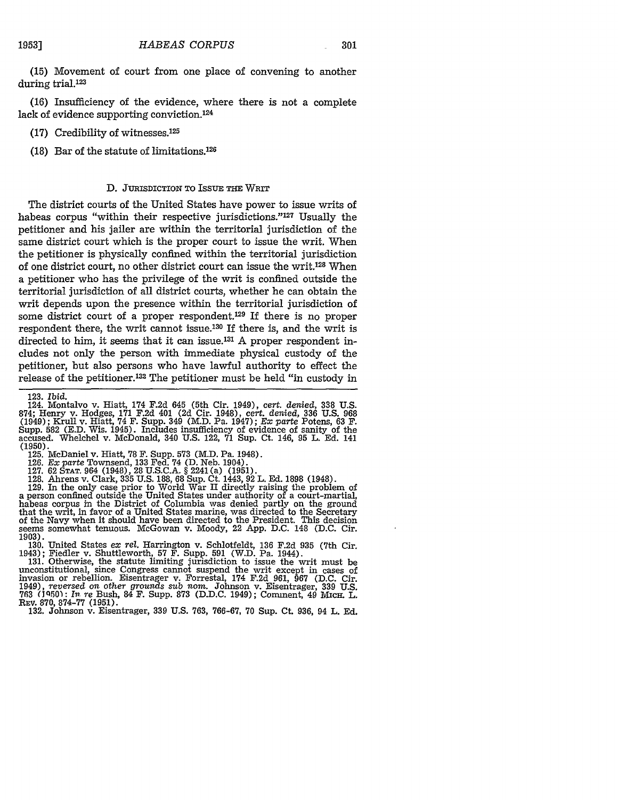(15) Movement of court from one place of convening to another  $\rm{during\ trial}.^{12}$ 

(16) Insufficiency of the evidence, where there is not a complete lack of evidence supporting conviction.<sup>124</sup>

(17) Credibility of witnesses. <sup>125</sup>

(18) Bar of the statute of limitations.<sup>126</sup>

### **D. JURISDICTION** TO ISSUE **THE** WRIT

The district courts of the United States have power to issue writs of habeas corpus "within their respective jurisdictions."<sup>127</sup> Usually the petitioner and his jailer are within the territorial jurisdiction of the same district court which is the proper court to issue the writ. When the petitioner is physically confined within the territorial jurisdiction of one district court, no other district court can issue the writ.<sup>128</sup> When a petitioner who has the privilege of the writ is confined outside the territorial jurisdiction of all district courts, whether he can obtain the writ depends upon the presence within the territorial jurisdiction of some district court of a proper respondent.<sup>129</sup> If there is no proper respondent there, the writ cannot issue.130 If there is, and the writ is directed to him, it seems that it can issue.<sup>131</sup> A proper respondent includes not only the person with immediate physical custody of the petitioner, but also persons who have lawful authority to effect the release of the petitioner.132 The petitioner must be held "in custody in

126. *Ex parte* Townsend, 133 Fed. 74 (D. Neb. 1904). 127. 62 **STAT.** 964 (1948), 28 **U.S.C.A.** § 2241(a) (1951). 128. Ahrens v. Clark, 335 U.S. 188, 68 Sup. Ct. 1443, 92 L. **Ed.** 1898 (1948).

129. In the only case prior to World War II directly raising the problem of a person confined outside the United States under authority of a court-martial, habeas corpus in the District of Columbia was denied partly on the ground that the writ, in favor of a United States marine, was directed to the Secretary of the Navy when it should have been directed to the President. This decision seems somewhat tenuous. McGowan v. Moody, 22 App. D.C. 148 (D.C. Cir. 1903).

1903). 130. United States *ex rel.* Harrington v. Schlotfeldt, 136 F.2d **935** (7th Cir. 1943); Fiedler v. Shuttleworth, 57 F. Supp. 591 (W.D. Pa. 1944).

131. Otherwise, the statute limiting jurisdiction to issue the writ must be unconstitutional, since Congress cannot suspend the writ except in cases of invasion or rebellion. Eisentrager v. Forrestal, 174 F.2d 961, 967 (D.C. Cir. 1949), *reversed on other grounds sub nom.* Johnson v. Eisentrager, 339 U.S. <sup>763</sup>*(* **050):** *In re* Bush, 84 F. Supp. 873 **(D.D.C.** 1949); Comment, 49 Mca L. **REV.** 870, 874-77 (1951).

**132.** Johnson v. Eisentrager, 339 U.S. 763, 766-67, 70 Sup. Ct. 936, 94 L. Ed.

<sup>123.</sup> *Ibid.*

<sup>124.</sup> Montalvo v. Hiatt, 174 F.2d 645 (5th Cir. 1949), cert. *denied,* **338** U.S. 874; Henry v. Hodges, 171 F.2d 401 (2d Cir. 1948), cert. denied, 336 U.S. 968 (1949); Krull v. Hiatt, 74 F. Supp. 349 (M.D. Pa. 1947); Ex parte Potens, 63 F. Supp. 582 (E.D. Wis. 1945). Includes insufficiency of evidence o **(1950).**

<sup>125.</sup> McDaniel v. Hiatt, 78 F. Supp. 573 (M.D. Pa. 1948).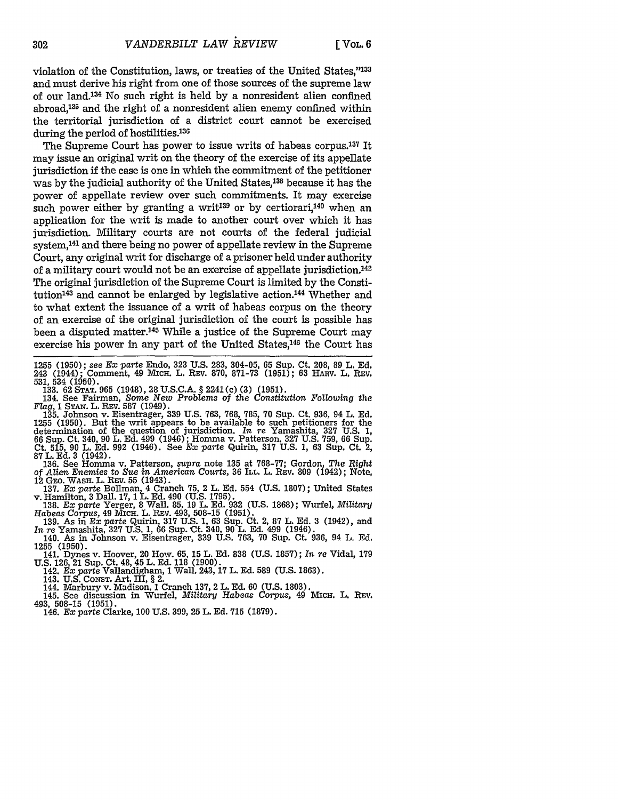violation of the Constitution, laws, or treaties of the United States,"133 and must derive his right from one of those sources of the supreme law of our land.134 No such right is held by a nonresident alien confined abroad.<sup>135</sup> and the right of a nonresident alien enemy confined within the territorial jurisdiction of a district court cannot be exercised during the period of hostilities.136

The Supreme Court has power to issue writs of habeas corpus.<sup>137</sup> It may issue an original writ on the theory of the exercise of its appellate jurisdiction if the case is one in which the commitment of the petitioner was **by** the judicial authority of the United States,138 because it has the power of appellate review over such commitments. It may exercise such power either by granting a writ<sup>139</sup> or by certiorari,<sup>140</sup> when an application for the writ is made to another court over which it has jurisdiction. Military courts are not courts of the federal judicial system,141 and there being no power of appellate review in the Supreme Court, any original writ for discharge of a prisoner held under authority of a military court would not be an exercise of appellate jurisdiction.142 The original jurisdiction of the Supreme Court is limited **by** the Constitution 43 and cannot be enlarged **by** legislative action.144 Whether and to what extent the issuance of a writ of habeas corpus on the theory of an exercise of the original jurisdiction of the court is possible has been a disputed **matter.145** While a justice of the Supreme Court may exercise his power in any part of the United States,<sup>146</sup> the Court has

**1255 (1950);** *see Ex* parte Endo, **323 U.S. 283,** 304-05, 65 Sup. Ct. **208,** 89 L. **Ed.** 243 (1944); Comment, 49 **MICH.** L. **REV. 870, 871-73 (1951); 63** HARV. L. **REV.**

531,534 **(1950). 133. 62 STAT.** 965 (1948), 28 **U.S.C.A.** § 2241 **(c) (3) (1951).**

134. See Fairman, Some New Problems of the Constitution Following the Flag, 1 Stan. L. Rev. 587 (1949).<br>Flag, 1 Stan. L. Rev. 587 (1949).<br>135. Johnson v. Eisentrager, 339 U.S. 763, 768, 785, 70 Sup. Ct. 936, 94 L. Ed.

1255 (1950). But the writ appears to be available to such petitioners for the determination of the question of jurisdiction. *In* re Yamashita, **327** U.S. **1, 66** Sup. Ct. 340, **90** L. Ed. 499 (1946); Homma v. Patterson. 327 U.S. 759, **66** Sup. Ct. **515,** 90 L. Ed. **992** (1946). See *Ex parte* Quirin, **317** U.S. **1, 63** Sup. Ct. 2, **87** L. Ed. **3** (1942). **136.** See Homma v. Patterson, *supra* note **135** at **768-77;** Gordon, *The Right*

*of Alien Enemies to Sue in American Courts,* **36** ILL. L. **REV.** 809 (1942); Note, 12 GEo. WAsh. L. REV. 55 (1943).

137. *Ex parte* Bollman, 4 Cranch 75, 2 L. Ed. 554 (U.S. 1807); United States v. Hamilton, 3 Dall. **17,** 1 L. Ed. 490 (U.S. 1795).

138. Ex parte Yerger, 8 Wall. 85, 19 L. Ed. 932 (U.S. 1868); Wurfel, Military<br>Habeas Corpus, 49 Mich. L. REV. 493, 508-15 (1951).<br>139. As in Ex parte Quirin, 317 U.S. 1, 63 Sup. Ct. 2, 87 L. Ed. 3 (1942), and<br>In re Yamashi

140. As in Johnson v. Eisentrager, 339 U.S. 763, **70** Sup. Ct. 936, 94 L. Ed. 1255 (1950).

141. Dynes v. Hoover, 20 How. 65, **15** L. Ed. 838 (U.S. **1857);** *In re* Vidal, **179** U.S. 126, **21** Sup. Ct. 48, 45 L. Ed. 118 (1900). 142. *Ex parte* Vallandigham, 1 Wall. 243, 17 L. Ed. 589 (U.S. 1863).

143. **U.S.** CONST. Art. III, § 2.

144. Marbury v. Madison, 1 Cranch 137, 2 L. Ed. 60 (U.S. 1803).<br>145. See discussion in Wurfel, *Military Habeas Corpus,* 49 Mich. L. Rev.

493, 508-15 (1951). 146. *Ex parte* Clarke, **100** U.S. 399, 25 L. Ed. **715** (1879).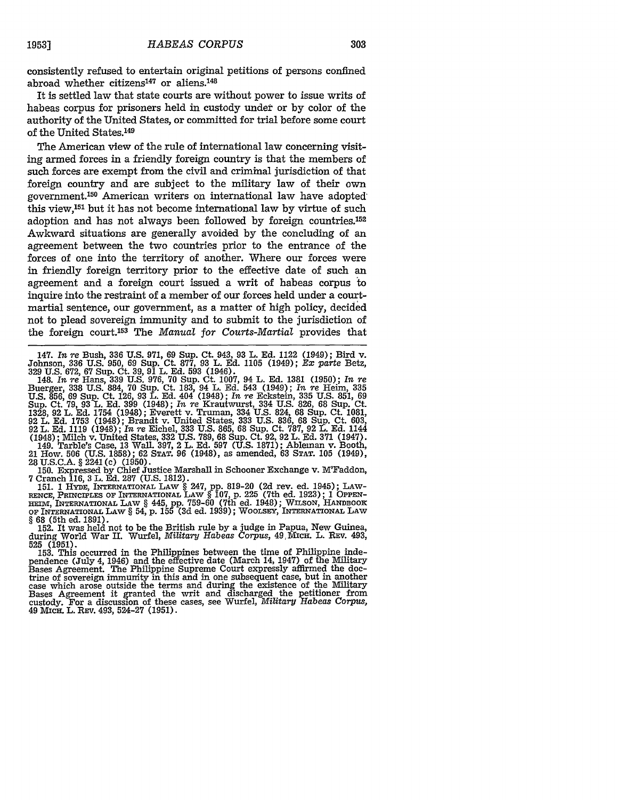consistently refused to entertain original petitions of persons confined abroad whether citizens147 or aliens.148

It is settled law that state courts are without power to issue writs of habeas corpus for prisoners held in custody under or by color of the authority of the United States, or committed for trial before some court of the United States.149

The American view of the rule of international law concerning visiting armed forces in a friendly foreign country is that the members of such forces are exempt from the civil and criminal jurisdiction of that foreign country and are subject to the military law of their own government. 150 American writers on international law have adopted ' this view,151 but it has not become international law by virtue of such adoption and has not always been followed by foreign countries.<sup>152</sup> Awkward situations are generally avoided by the concluding of an agreement between the two countries prior to the entrance of the forces of one into the territory of another. Where our forces were in friendly foreign territory prior to the effective date of such an agreement and a foreign court issued a writ of habeas corpus to inquire into the restraint of a member of our forces held under a courtmartial sentence, our government, as a matter of high policy, decided not to plead sovereign immunity and to submit to the jurisdiction of the foreign court.<sup>153</sup> The *Manual for Courts-Martial* provides that

147. In re Bush, 336 U.S. 971, 69 Sup. Ct. 943, 93 L. Ed. 1122 (1949); Bird v. Johnson, 336 U.S. 950, 69 Sup. Ct. 877, 93 L. Ed. 1105 (1949); Ex parte Betz, 329 U.S. 672, 67 Sup. Ct. 39, 91 L. Ed. 593 (1946).<br>148. In re Ha

Buerger, **338** U.S. 884, 70 Sup. Ct. 183, 94 L. Ed. 543 (1949); *In re* Heim, **335** U.S. 856, 69 Sup. Ct. 126, 93 L. Ed. 404 (1948); *In re* Eckstein, 335 U.S. 851, 69 Sup. Ct. 126, 93 L. Ed. 404 (1948); *In re* Eckstein, 335 U.S. 851, 69 Sup. Ct. 79, 93 L. Ed. 399 (1948); *In re* Krautwurst, 334 U.S. 826 92 L. Ed. 1753 (1948); Brandt v. United States, **333** U.S. 836, 68 Sup. Ct. 603, 92 L. Ed. 1119 (1948); *In re* Eichel, **333** U.S. 865, 68 Sup. Ct. **787,** 92 L. Ed. 1144 (1948); Milch v. United States, 332 U.S. 789, 68 Sup. Ct. 92, 92 L. Ed. **371** (1947). 149. Tarble's Case, 13 Wall. 397, 2 L. Ed. 597 (U.S. 1871); Ableman v. Booth, 21 How. 506 (U.S. 1858); 62 STAT. 96 (1948), as amended, 63 STAT. 105 (1949), 28 U.S.C.A. § 2241 (c) (1950).<br>28 U.S.C.A. § 2241 (c) (1950). 150.

7 Cranch 116, 3 L. Ed. 287 (U.S. 1812).<br>151. 1 Hyde, INTERNATIONAL LAW § 247, pp. 819-20 (2d rev. ed. 1945); LAW-<br>RENCE, PRINCIPLES OF INTERNATIONAL LAW § 107, p. 225 (7th ed. 1923); 1 OPPEN-**HEm, INTERNATIONAL LAw** § 445, pp. 759-60 (7th ed. 1948); WILsoN, **HANDBOOK** OF **INTERNATIONAL LAW** § 54, **p. 155 (3d** ed. **1939);** WooLsEY, INTERNATIONAL **LAw** § 68 (5th ed. 1891)

152. It was held not to be the British rule by a judge in Papua, New Guinea, during World War II. Wurfel, *Military Habeas Corpus,* 49,1MicH. L. REV. 493,

**525** (1951). 153. This occurred in the Philippines between the time of Philippine independence (July 4, 1946) and the effective date (March 14, 1947) of the Military Bases Agreement. The Philippine Supreme Court expressly affirmed the doctrine of sovereign immunity in this and in one subsequent case, but in another case which arose outside the terms and during the existence of the Military Bases Agreement it granted the writ and discharged the petitioner from custody. For a discussion of these cases, see Wurfel, *Military Habeas Corpus,* 49 Micii. L. **REv.** 493, 524-27 (1951).